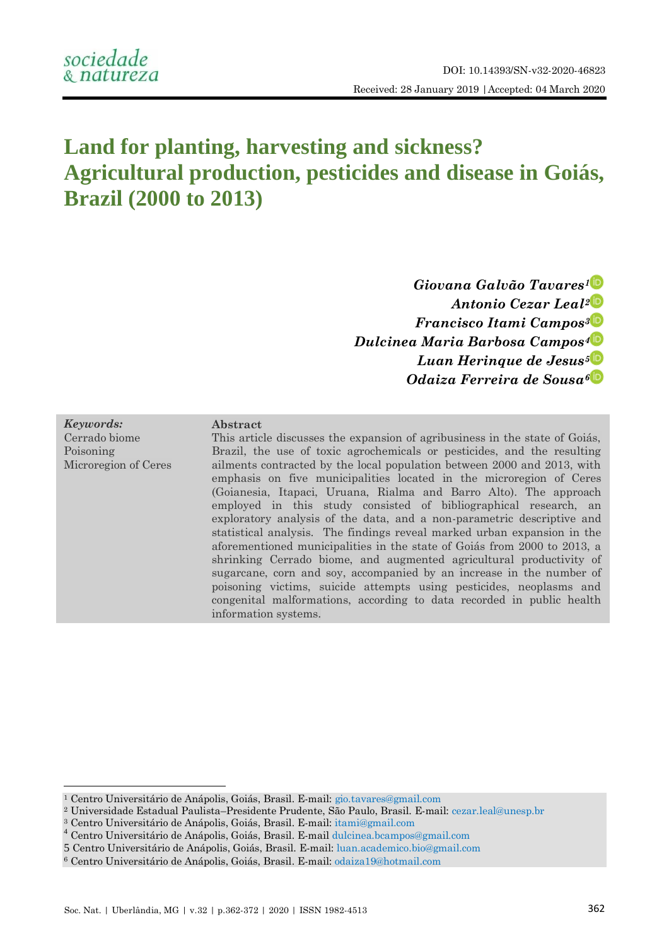# **Land for planting, harvesting and sickness? Agricultural production, pesticides and disease in Goiás, Brazil (2000 to 2013)**

*Giovana Galvão Tavares[1](http://orcid.org/0000-0001-5959-2897) Antonio Cezar Leal[2](http://orcid.org/0000-0002-7962-518X) Francisco Itami Campos[3](http://orcid.org/0000-0002-8643-9406) Dulcinea Maria Barbosa Campos[4](http://orcid.org/0000-0003-1293-8824) Luan Herinque de Jesus[5](http://orcid.org/0000-0001-8702-6200) Odaiza Ferreira de Sousa[6](http://orcid.org/0000-0001-8333-7984)*

| Keywords:            |
|----------------------|
| Cerrado biome        |
| Poisoning            |
| Microregion of Ceres |

 $\overline{a}$ 

#### **Abstract**

This article discusses the expansion of agribusiness in the state of Goiás, Brazil, the use of toxic agrochemicals or pesticides, and the resulting ailments contracted by the local population between 2000 and 2013, with emphasis on five municipalities located in the microregion of Ceres (Goianesia, Itapaci, Uruana, Rialma and Barro Alto). The approach employed in this study consisted of bibliographical research, an exploratory analysis of the data, and a non-parametric descriptive and statistical analysis. The findings reveal marked urban expansion in the aforementioned municipalities in the state of Goiás from 2000 to 2013, a shrinking Cerrado biome, and augmented agricultural productivity of sugarcane, corn and soy, accompanied by an increase in the number of poisoning victims, suicide attempts using pesticides, neoplasms and congenital malformations, according to data recorded in public health information systems.

<sup>1</sup> Centro Universitário de Anápolis, Goiás, Brasil. E-mail: [gio.tavares@gmail.com](mailto:gio.tavares@gmail.com)

<sup>2</sup> Universidade Estadual Paulista–Presidente Prudente, São Paulo, Brasil. E-mail: [cezar.leal@unesp.br](mailto:cezar.leal@unesp.br)

<sup>3</sup> Centro Universitário de Anápolis, Goiás, Brasil. E-mail: [itami@gmail.com](mailto:itami@gmail.com)

<sup>4</sup> Centro Universitário de Anápolis, Goiás, Brasil. E-mail [dulcinea.bcampos@gmail.com](mailto:dulcinea.bcampos@gmail.com)

<sup>5</sup> Centro Universitário de Anápolis, Goiás, Brasil. E-mail[: luan.academico.bio@gmail.com](mailto:luan.academico.bio@gmail.com)

<sup>6</sup> Centro Universitário de Anápolis, Goiás, Brasil. E-mail: [odaiza19@hotmail.com](mailto:odaiza19@hotmail.com)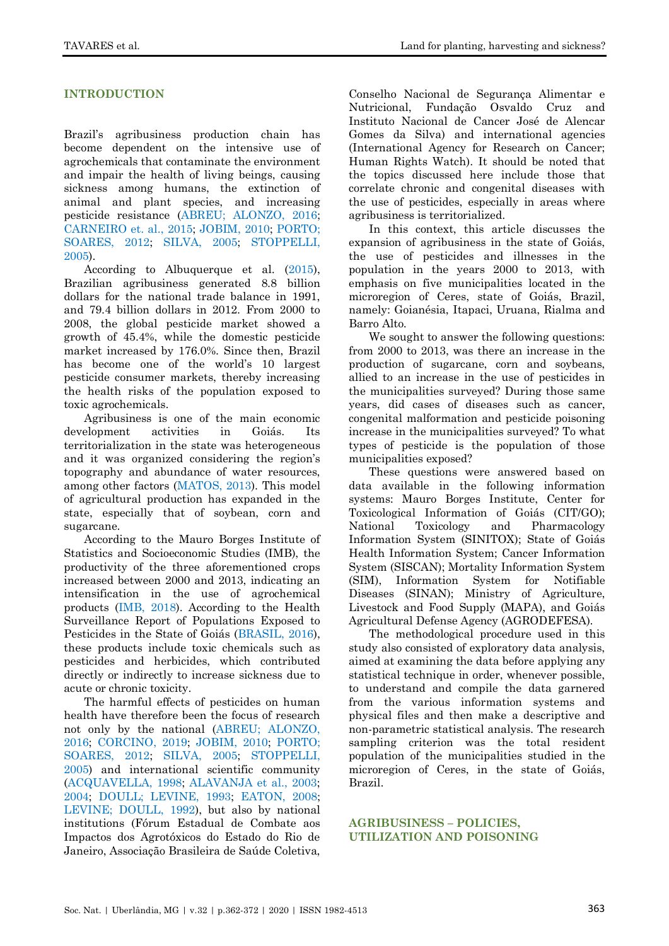# **INTRODUCTION**

Brazil's agribusiness production chain has become dependent on the intensive use of agrochemicals that contaminate the environment and impair the health of living beings, causing sickness among humans, the extinction of animal and plant species, and increasing pesticide resistance [\(ABREU; ALONZO, 2016;](#page-7-0) CARNEIRO [et. al., 2015;](#page-8-0) [JOBIM, 2010;](#page-9-0) [PORTO;](#page-9-1)  [SOARES, 2012;](#page-9-1) SILVA, 2005; [STOPPELLI,](#page-10-0)  [2005\)](#page-10-0).

According to Albuquerque et al. [\(2015\)](#page-7-1), Brazilian agribusiness generated 8.8 billion dollars for the national trade balance in 1991, and 79.4 billion dollars in 2012. From 2000 to 2008, the global pesticide market showed a growth of 45.4%, while the domestic pesticide market increased by 176.0%. Since then, Brazil has become one of the world's 10 largest pesticide consumer markets, thereby increasing the health risks of the population exposed to toxic agrochemicals.

Agribusiness is one of the main economic development activities in Goiás. Its territorialization in the state was heterogeneous and it was organized considering the region's topography and abundance of water resources, among other factors [\(MATOS, 2013\)](#page-9-2). This model of agricultural production has expanded in the state, especially that of soybean, corn and sugarcane.

According to the Mauro Borges Institute of Statistics and Socioeconomic Studies (IMB), the productivity of the three aforementioned crops increased between 2000 and 2013, indicating an intensification in the use of agrochemical products [\(IMB, 2018\)](#page-9-3). According to the Health Surveillance Report of Populations Exposed to Pesticides in the State of Goiás [\(BRASIL, 2016\)](#page-8-1), these products include toxic chemicals such as pesticides and herbicides, which contributed directly or indirectly to increase sickness due to acute or chronic toxicity.

The harmful effects of pesticides on human health have therefore been the focus of research not only by the national [\(ABREU; ALONZO,](#page-7-0)  [2016;](#page-7-0) [CORCINO, 2019;](#page-8-2) [JOBIM, 2010;](#page-9-0) [PORTO;](#page-9-1)  [SOARES, 2012;](#page-9-1) SILVA, 2005; [STOPPELLI,](#page-10-0)  [2005\)](#page-10-0) and international scientific community [\(ACQUAVELLA, 1998;](#page-7-2) [ALAVANJA et al., 2003;](#page-7-3) [2004;](#page-7-4) [DOULL; LEVINE, 1993;](#page-8-3) [EATON, 2008;](#page-8-4) [LEVINE; DOULL, 1992\)](#page-9-4), but also by national institutions (Fórum Estadual de Combate aos Impactos dos Agrotóxicos do Estado do Rio de Janeiro, Associação Brasileira de Saúde Coletiva,

Conselho Nacional de Segurança Alimentar e Nutricional, Fundação Osvaldo Cruz and Instituto Nacional de Cancer José de Alencar Gomes da Silva) and international agencies (International Agency for Research on Cancer; Human Rights Watch). It should be noted that the topics discussed here include those that correlate chronic and congenital diseases with the use of pesticides, especially in areas where agribusiness is territorialized.

In this context, this article discusses the expansion of agribusiness in the state of Goiás, the use of pesticides and illnesses in the population in the years 2000 to 2013, with emphasis on five municipalities located in the microregion of Ceres, state of Goiás, Brazil, namely: Goianésia, Itapaci, Uruana, Rialma and Barro Alto.

We sought to answer the following questions: from 2000 to 2013, was there an increase in the production of sugarcane, corn and soybeans, allied to an increase in the use of pesticides in the municipalities surveyed? During those same years, did cases of diseases such as cancer, congenital malformation and pesticide poisoning increase in the municipalities surveyed? To what types of pesticide is the population of those municipalities exposed?

These questions were answered based on data available in the following information systems: Mauro Borges Institute, Center for Toxicological Information of Goiás (CIT/GO); National Toxicology and Pharmacology Information System (SINITOX); State of Goiás Health Information System; Cancer Information System (SISCAN); Mortality Information System (SIM), Information System for Notifiable Diseases (SINAN); Ministry of Agriculture, Livestock and Food Supply (MAPA), and Goiás Agricultural Defense Agency (AGRODEFESA).

The methodological procedure used in this study also consisted of exploratory data analysis, aimed at examining the data before applying any statistical technique in order, whenever possible, to understand and compile the data garnered from the various information systems and physical files and then make a descriptive and non-parametric statistical analysis. The research sampling criterion was the total resident population of the municipalities studied in the microregion of Ceres, in the state of Goiás, Brazil.

#### **AGRIBUSINESS – POLICIES, UTILIZATION AND POISONING**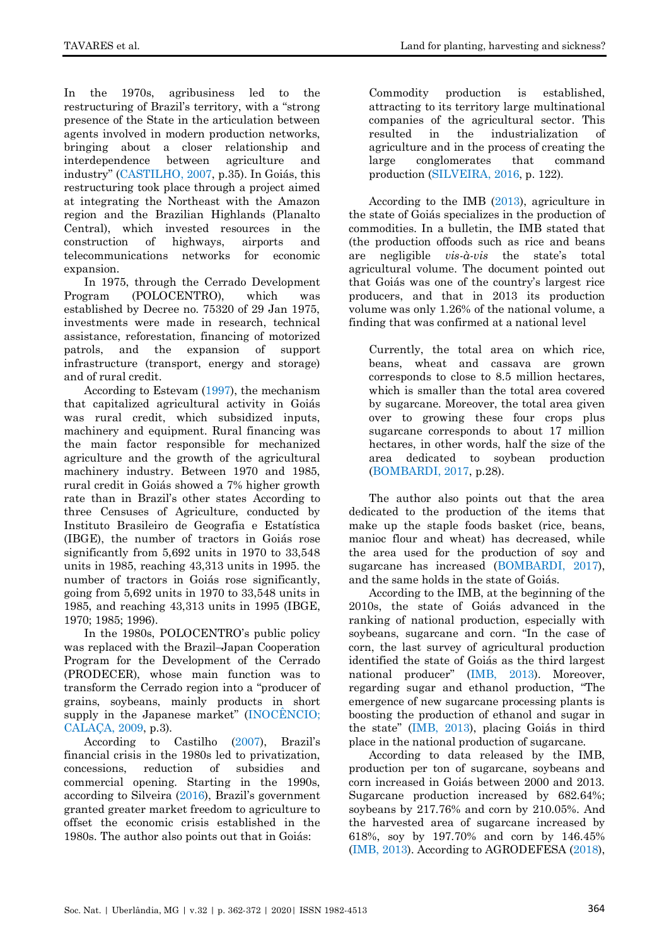In the 1970s, agribusiness led to the restructuring of Brazil's territory, with a "strong" presence of the State in the articulation between agents involved in modern production networks, bringing about a closer relationship and interdependence between agriculture and industry‖ ([CASTILHO, 2007,](#page-8-5) p.35). In Goiás, this restructuring took place through a project aimed at integrating the Northeast with the Amazon region and the Brazilian Highlands (Planalto Central), which invested resources in the construction of highways, airports and telecommunications networks for economic expansion.

In 1975, through the Cerrado Development Program (POLOCENTRO), which was established by Decree no. 75320 of 29 Jan 1975, investments were made in research, technical assistance, reforestation, financing of motorized patrols, and the expansion of support infrastructure (transport, energy and storage) and of rural credit.

According to Estevam [\(1997\)](#page-8-6), the mechanism that capitalized agricultural activity in Goiás was rural credit, which subsidized inputs, machinery and equipment. Rural financing was the main factor responsible for mechanized agriculture and the growth of the agricultural machinery industry. Between 1970 and 1985, rural credit in Goiás showed a 7% higher growth rate than in Brazil's other states According to three Censuses of Agriculture, conducted by Instituto Brasileiro de Geografia e Estatística (IBGE), the number of tractors in Goiás rose significantly from 5,692 units in 1970 to 33,548 units in 1985, reaching 43,313 units in 1995. the number of tractors in Goiás rose significantly, going from 5,692 units in 1970 to 33,548 units in 1985, and reaching 43,313 units in 1995 (IBGE, 1970; 1985; 1996).

In the 1980s, POLOCENTRO's public policy was replaced with the Brazil*–*Japan Cooperation Program for the Development of the Cerrado (PRODECER), whose main function was to transform the Cerrado region into a "producer of grains, soybeans, mainly products in short supply in the Japanese market"  $(INOCÊNCIO;$  $(INOCÊNCIO;$ [CALAÇA, 2009,](#page-9-5) p.3).

According to Castilho [\(2007](#page-8-5)), Brazil's financial crisis in the 1980s led to privatization, concessions, reduction of subsidies and commercial opening. Starting in the 1990s, according to Silveira (2016), Brazil's government granted greater market freedom to agriculture to offset the economic crisis established in the 1980s. The author also points out that in Goiás:

Commodity production is established, attracting to its territory large multinational companies of the agricultural sector. This resulted in the industrialization of agriculture and in the process of creating the large conglomerates that command production (SILVEIRA, 2016, p. 122).

According to the IMB [\(2013\)](#page-9-6), agriculture in the state of Goiás specializes in the production of commodities. In a bulletin, the IMB stated that (the production offoods such as rice and beans are negligible *vis-à-vis* the state's total agricultural volume. The document pointed out that Goiás was one of the country's largest rice producers, and that in 2013 its production volume was only 1.26% of the national volume, a finding that was confirmed at a national level

Currently, the total area on which rice, beans, wheat and cassava are grown corresponds to close to 8.5 million hectares, which is smaller than the total area covered by sugarcane. Moreover, the total area given over to growing these four crops plus sugarcane corresponds to about 17 million hectares, in other words, half the size of the area dedicated to soybean production [\(BOMBARDI, 2017,](#page-8-7) p.28).

The author also points out that the area dedicated to the production of the items that make up the staple foods basket (rice, beans, manioc flour and wheat) has decreased, while the area used for the production of soy and sugarcane has increased [\(BOMBARDI, 2017\)](#page-8-7), and the same holds in the state of Goiás.

According to the IMB, at the beginning of the 2010s, the state of Goiás advanced in the ranking of national production, especially with soybeans, sugarcane and corn. "In the case of corn, the last survey of agricultural production identified the state of Goiás as the third largest national producer" ([IMB, 2013\)](#page-9-6). Moreover, regarding sugar and ethanol production, "The emergence of new sugarcane processing plants is boosting the production of ethanol and sugar in the state‖ ([IMB, 2013\)](#page-9-6), placing Goiás in third place in the national production of sugarcane.

According to data released by the IMB, production per ton of sugarcane, soybeans and corn increased in Goiás between 2000 and 2013. Sugarcane production increased by 682.64%; soybeans by 217.76% and corn by 210.05%. And the harvested area of sugarcane increased by 618%, soy by 197.70% and corn by 146.45% [\(IMB, 2013\)](#page-9-6). According to AGRODEFESA [\(2018\)](#page-7-5),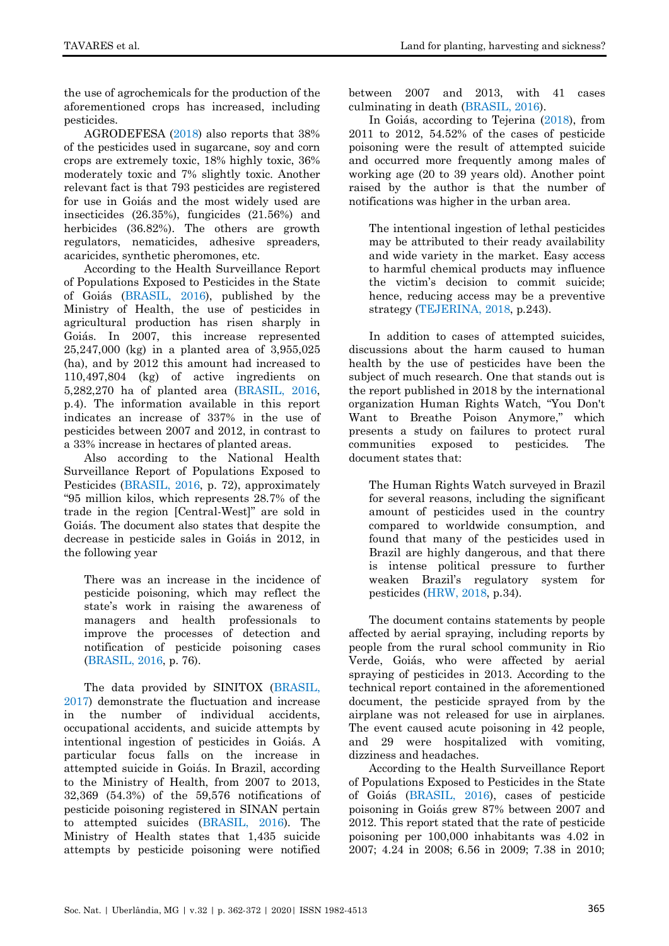the use of agrochemicals for the production of the aforementioned crops has increased, including pesticides.

AGRODEFESA [\(2018\)](#page-7-5) also reports that 38% of the pesticides used in sugarcane, soy and corn crops are extremely toxic, 18% highly toxic, 36% moderately toxic and 7% slightly toxic. Another relevant fact is that 793 pesticides are registered for use in Goiás and the most widely used are insecticides (26.35%), fungicides (21.56%) and herbicides (36.82%). The others are growth regulators, nematicides, adhesive spreaders, acaricides, synthetic pheromones, etc.

According to the Health Surveillance Report of Populations Exposed to Pesticides in the State of Goiás [\(BRASIL, 2016\)](#page-8-1), published by the Ministry of Health, the use of pesticides in agricultural production has risen sharply in Goiás. In 2007, this increase represented 25,247,000 (kg) in a planted area of 3,955,025 (ha), and by 2012 this amount had increased to 110,497,804 (kg) of active ingredients on 5,282,270 ha of planted area [\(BRASIL, 2016,](#page-8-1) p.4). The information available in this report indicates an increase of 337% in the use of pesticides between 2007 and 2012, in contrast to a 33% increase in hectares of planted areas.

Also according to the National Health Surveillance Report of Populations Exposed to Pesticides [\(BRASIL, 2016,](#page-8-1) p. 72), approximately ―95 million kilos, which represents 28.7% of the trade in the region [Central-West]" are sold in Goiás. The document also states that despite the decrease in pesticide sales in Goiás in 2012, in the following year

There was an increase in the incidence of pesticide poisoning, which may reflect the state's work in raising the awareness of managers and health professionals to improve the processes of detection and notification of pesticide poisoning cases [\(BRASIL, 2016,](#page-8-1) p. 76).

The data provided by SINITOX [\(BRASIL,](#page-8-8)  [2017\)](#page-8-8) demonstrate the fluctuation and increase in the number of individual accidents, occupational accidents, and suicide attempts by intentional ingestion of pesticides in Goiás. A particular focus falls on the increase in attempted suicide in Goiás. In Brazil, according to the Ministry of Health, from 2007 to 2013, 32,369 (54.3%) of the 59,576 notifications of pesticide poisoning registered in SINAN pertain to attempted suicides [\(BRASIL, 2016\)](#page-8-1). The Ministry of Health states that 1,435 suicide attempts by pesticide poisoning were notified

between 2007 and 2013, with 41 cases culminating in death [\(BRASIL, 2016\)](#page-8-1).

In Goiás, according to Tejerina [\(2018\)](#page-10-1), from 2011 to 2012, 54.52% of the cases of pesticide poisoning were the result of attempted suicide and occurred more frequently among males of working age (20 to 39 years old). Another point raised by the author is that the number of notifications was higher in the urban area.

The intentional ingestion of lethal pesticides may be attributed to their ready availability and wide variety in the market. Easy access to harmful chemical products may influence the victim's decision to commit suicide; hence, reducing access may be a preventive strategy [\(TEJERINA,](#page-10-1) 2018, p.243).

In addition to cases of attempted suicides, discussions about the harm caused to human health by the use of pesticides have been the subject of much research. One that stands out is the report published in 2018 by the international organization Human Rights Watch, "You Don't Want to Breathe Poison Anymore," which presents a study on failures to protect rural communities exposed to pesticides. The document states that:

The Human Rights Watch surveyed in Brazil for several reasons, including the significant amount of pesticides used in the country compared to worldwide consumption, and found that many of the pesticides used in Brazil are highly dangerous, and that there is intense political pressure to further weaken Brazil's regulatory system for pesticides (HRW, 2018, p.34).

The document contains statements by people affected by aerial spraying, including reports by people from the rural school community in Rio Verde, Goiás, who were affected by aerial spraying of pesticides in 2013. According to the technical report contained in the aforementioned document, the pesticide sprayed from by the airplane was not released for use in airplanes. The event caused acute poisoning in 42 people, and 29 were hospitalized with vomiting, dizziness and headaches.

According to the Health Surveillance Report of Populations Exposed to Pesticides in the State of Goiás [\(BRASIL, 2016\)](#page-8-1), cases of pesticide poisoning in Goiás grew 87% between 2007 and 2012. This report stated that the rate of pesticide poisoning per 100,000 inhabitants was 4.02 in 2007; 4.24 in 2008; 6.56 in 2009; 7.38 in 2010;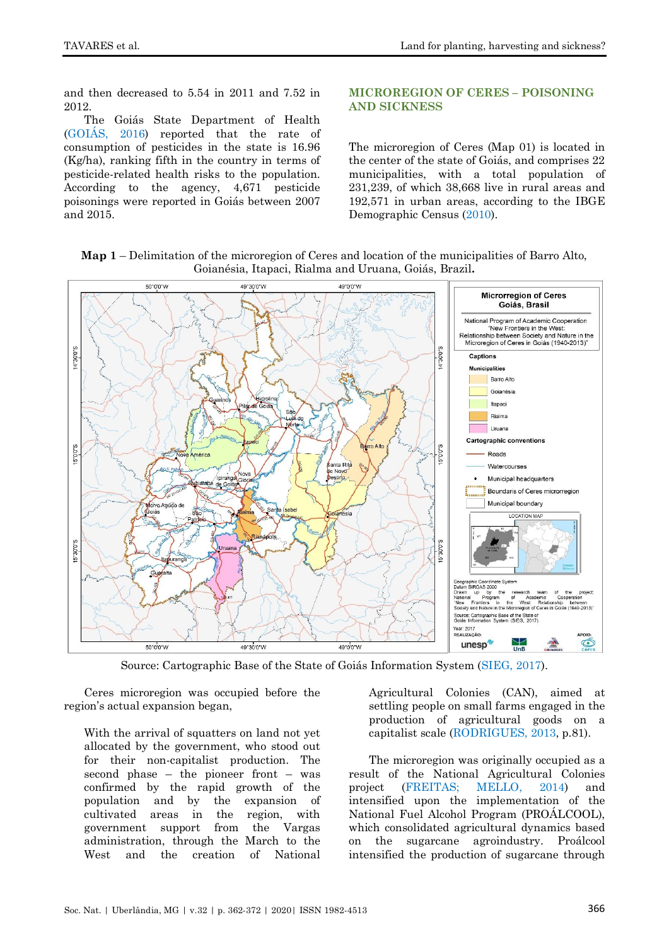and then decreased to 5.54 in 2011 and 7.52 in 2012.

The Goiás State Department of Health [\(GOIÁS,](#page-8-9) 2016) reported that the rate of consumption of pesticides in the state is 16.96 (Kg/ha), ranking fifth in the country in terms of pesticide-related health risks to the population. According to the agency, 4,671 pesticide poisonings were reported in Goiás between 2007 and 2015.

## **MICROREGION OF CERES – POISONING AND SICKNESS**

The microregion of Ceres (Map 01) is located in the center of the state of Goiás, and comprises 22 municipalities, with a total population of 231,239, of which 38,668 live in rural areas and 192,571 in urban areas, according to the IBGE Demographic Census [\(2010\)](#page-9-7).

**Map 1** – Delimitation of the microregion of Ceres and location of the municipalities of Barro Alto, Goianésia, Itapaci, Rialma and Uruana, Goiás, Brazil**.**



Source: Cartographic Base of the State of Goiás Information System [\(SIEG, 2017\)](#page-9-8).

Ceres microregion was occupied before the region's actual expansion began,

With the arrival of squatters on land not yet allocated by the government, who stood out for their non-capitalist production. The second phase – the pioneer front – was confirmed by the rapid growth of the population and by the expansion of cultivated areas in the region, with government support from the Vargas administration, through the March to the West and the creation of National

Agricultural Colonies (CAN), aimed at settling people on small farms engaged in the production of agricultural goods on a capitalist scale [\(RODRIGUES, 2013,](#page-9-9) p.81).

The microregion was originally occupied as a result of the National Agricultural Colonies project [\(FREITAS; MELLO, 2014\)](#page-8-10) and intensified upon the implementation of the National Fuel Alcohol Program (PROÁLCOOL), which consolidated agricultural dynamics based on the sugarcane agroindustry. Proálcool intensified the production of sugarcane through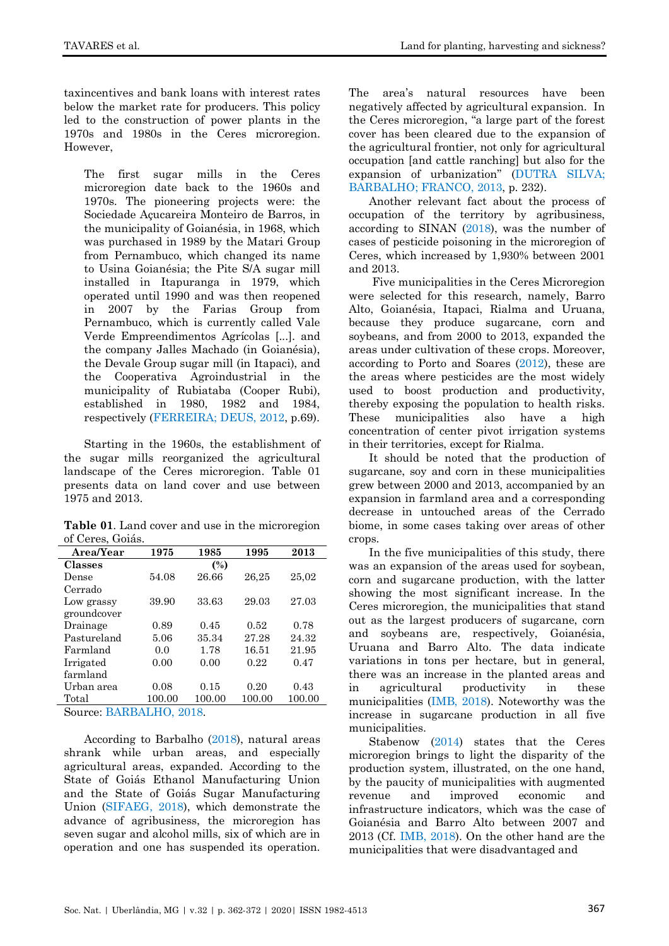taxincentives and bank loans with interest rates below the market rate for producers. This policy led to the construction of power plants in the 1970s and 1980s in the Ceres microregion. However,

The first sugar mills in the Ceres microregion date back to the 1960s and 1970s. The pioneering projects were: the Sociedade Açucareira Monteiro de Barros, in the municipality of Goianésia, in 1968, which was purchased in 1989 by the Matari Group from Pernambuco, which changed its name to Usina Goianésia; the Pite S/A sugar mill installed in Itapuranga in 1979, which operated until 1990 and was then reopened in 2007 by the Farias Group from Pernambuco, which is currently called Vale Verde Empreendimentos Agrícolas [...]. and the company Jalles Machado (in Goianésia), the Devale Group sugar mill (in Itapaci), and the Cooperativa Agroindustrial in the municipality of Rubiataba (Cooper Rubi), established in 1980, 1982 and 1984, respectively [\(FERREIRA; DEUS, 2012,](#page-8-11) p.69).

Starting in the 1960s, the establishment of the sugar mills reorganized the agricultural landscape of the Ceres microregion. Table 01 presents data on land cover and use between 1975 and 2013.

**Table 01**. Land cover and use in the microregion of Ceres, Goiás.

| Area/Year                                                                                                                                                                          | 1975           | 1985   | 1995   | 2013   |  |
|------------------------------------------------------------------------------------------------------------------------------------------------------------------------------------|----------------|--------|--------|--------|--|
| Classes                                                                                                                                                                            | $\binom{0}{0}$ |        |        |        |  |
| Dense                                                                                                                                                                              | 54.08          | 26.66  | 26,25  | 25,02  |  |
| Cerrado                                                                                                                                                                            |                |        |        |        |  |
| Low grassy                                                                                                                                                                         | 39.90          | 33.63  | 29.03  | 27.03  |  |
| groundcover                                                                                                                                                                        |                |        |        |        |  |
| Drainage                                                                                                                                                                           | 0.89           | 0.45   | 0.52   | 0.78   |  |
| Pastureland                                                                                                                                                                        | 5.06           | 35.34  | 27.28  | 24.32  |  |
| Farmland                                                                                                                                                                           | 0.0            | 1.78   | 16.51  | 21.95  |  |
| Irrigated                                                                                                                                                                          | 0.00           | 0.00   | 0.22   | 0.47   |  |
| farmland                                                                                                                                                                           |                |        |        |        |  |
| Urban area                                                                                                                                                                         | 0.08           | 0.15   | 0.20   | 0.43   |  |
| Total                                                                                                                                                                              | 100.00         | 100.00 | 100.00 | 100.00 |  |
| $\sim$<br>$\mathbf{D}$ $\mathbf{A}$ $\mathbf{D}$ $\mathbf{A}$ $\mathbf{I}$ $\mathbf{I}$ $\mathbf{I}$ $\mathbf{A}$ $\mathbf{A}$ $\mathbf{A}$ $\mathbf{A}$ $\mathbf{A}$ $\mathbf{A}$ |                |        |        |        |  |

Source[: BARBALHO,](#page-8-12) 2018.

According to Barbalho [\(2018\)](#page-8-12), natural areas shrank while urban areas, and especially agricultural areas, expanded. According to the State of Goiás Ethanol Manufacturing Union and the State of Goiás Sugar Manufacturing Union [\(SIFAEG, 2018\)](#page-9-10), which demonstrate the advance of agribusiness, the microregion has seven sugar and alcohol mills, six of which are in operation and one has suspended its operation.

The area's natural resources have been negatively affected by agricultural expansion. In the Ceres microregion, "a large part of the forest cover has been cleared due to the expansion of the agricultural frontier, not only for agricultural occupation [and cattle ranching] but also for the expansion of urbanization" ([DUTRA SILVA;](#page-8-13) BARBALHO; [FRANCO, 2013,](#page-8-13) p. 232).

Another relevant fact about the process of occupation of the territory by agribusiness, according to SINAN [\(2018\)](#page-10-2), was the number of cases of pesticide poisoning in the microregion of Ceres, which increased by 1,930% between 2001 and 2013.

Five municipalities in the Ceres Microregion were selected for this research, namely, Barro Alto, Goianésia, Itapaci, Rialma and Uruana, because they produce sugarcane, corn and soybeans, and from 2000 to 2013, expanded the areas under cultivation of these crops. Moreover, according to Porto and Soares [\(2012\)](#page-9-1), these are the areas where pesticides are the most widely used to boost production and productivity, thereby exposing the population to health risks. These municipalities also have a high concentration of center pivot irrigation systems in their territories, except for Rialma.

It should be noted that the production of sugarcane, soy and corn in these municipalities grew between 2000 and 2013, accompanied by an expansion in farmland area and a corresponding decrease in untouched areas of the Cerrado biome, in some cases taking over areas of other crops.

In the five municipalities of this study, there was an expansion of the areas used for soybean, corn and sugarcane production, with the latter showing the most significant increase. In the Ceres microregion, the municipalities that stand out as the largest producers of sugarcane, corn and soybeans are, respectively, Goianésia, Uruana and Barro Alto. The data indicate variations in tons per hectare, but in general, there was an increase in the planted areas and in agricultural productivity in these municipalities [\(IMB, 2018\)](#page-9-3). Noteworthy was the increase in sugarcane production in all five municipalities.

Stabenow [\(2014\)](#page-10-3) states that the Ceres microregion brings to light the disparity of the production system, illustrated, on the one hand, by the paucity of municipalities with augmented revenue and improved economic and infrastructure indicators, which was the case of Goianésia and Barro Alto between 2007 and 2013 (Cf. [IMB, 2018\)](#page-9-3). On the other hand are the municipalities that were disadvantaged and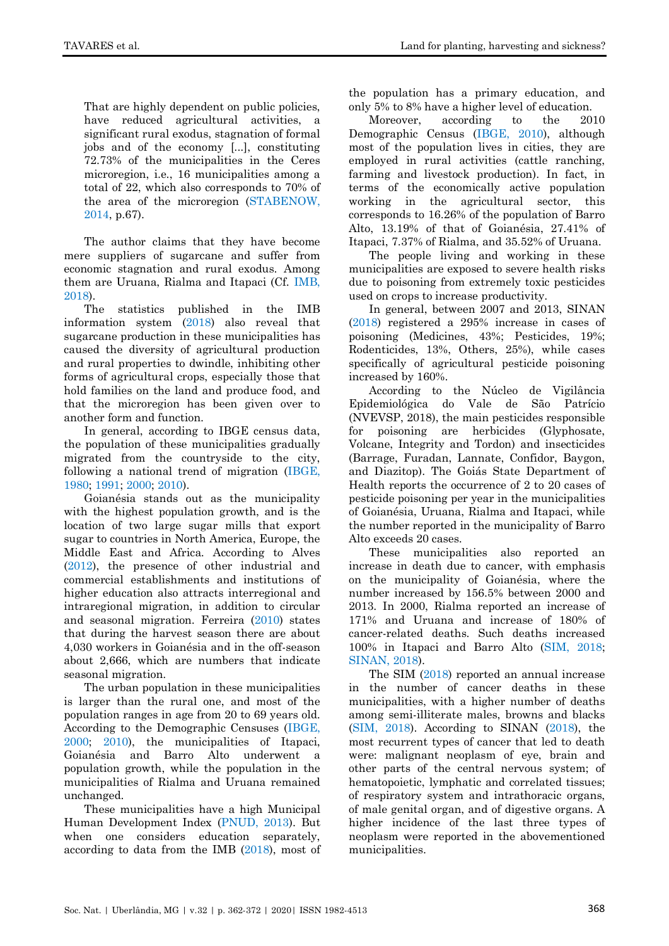That are highly dependent on public policies, have reduced agricultural activities, a significant rural exodus, stagnation of formal jobs and of the economy [...], constituting 72.73% of the municipalities in the Ceres microregion, i.e., 16 municipalities among a total of 22, which also corresponds to 70% of the area of the microregion [\(STABENOW,](#page-10-3)  [2014,](#page-10-3) p.67).

The author claims that they have become mere suppliers of sugarcane and suffer from economic stagnation and rural exodus. Among them are Uruana, Rialma and Itapaci (Cf. [IMB,](#page-9-3)  [2018\)](#page-9-3).

The statistics published in the IMB information system [\(2018\)](#page-9-3) also reveal that sugarcane production in these municipalities has caused the diversity of agricultural production and rural properties to dwindle, inhibiting other forms of agricultural crops, especially those that hold families on the land and produce food, and that the microregion has been given over to another form and function.

In general, according to IBGE census data, the population of these municipalities gradually migrated from the countryside to the city, following a national trend of migration [\(IBGE,](#page-9-11)  [1980;](#page-9-11) [1991;](#page-9-12) [2000;](#page-9-13) [2010\)](#page-9-7).

Goianésia stands out as the municipality with the highest population growth, and is the location of two large sugar mills that export sugar to countries in North America, Europe, the Middle East and Africa. According to Alves [\(2012\)](#page-7-6), the presence of other industrial and commercial establishments and institutions of higher education also attracts interregional and intraregional migration, in addition to circular and seasonal migration. Ferreira [\(2010\)](#page-8-14) states that during the harvest season there are about 4,030 workers in Goianésia and in the off-season about 2,666, which are numbers that indicate seasonal migration.

The urban population in these municipalities is larger than the rural one, and most of the population ranges in age from 20 to 69 years old. According to the Demographic Censuses [\(IBGE,](#page-9-13)  [2000;](#page-9-13) [2010\)](#page-9-7), the municipalities of Itapaci, Goianésia and Barro Alto underwent a population growth, while the population in the municipalities of Rialma and Uruana remained unchanged.

These municipalities have a high Municipal Human Development Index [\(PNUD, 2013\)](#page-9-14). But when one considers education separately, according to data from the IMB [\(2018\)](#page-9-3), most of the population has a primary education, and only 5% to 8% have a higher level of education.

Moreover, according to the 2010 Demographic Census [\(IBGE, 2010\)](#page-9-7), although most of the population lives in cities, they are employed in rural activities (cattle ranching, farming and livestock production). In fact, in terms of the economically active population working in the agricultural sector, this corresponds to 16.26% of the population of Barro Alto, 13.19% of that of Goianésia, 27.41% of Itapaci, 7.37% of Rialma, and 35.52% of Uruana.

The people living and working in these municipalities are exposed to severe health risks due to poisoning from extremely toxic pesticides used on crops to increase productivity.

In general, between 2007 and 2013, SINAN [\(2018\)](#page-10-2) registered a 295% increase in cases of poisoning (Medicines, 43%; Pesticides, 19%; Rodenticides, 13%, Others, 25%), while cases specifically of agricultural pesticide poisoning increased by 160%.

According to the Núcleo de Vigilância Epidemiológica do Vale de São Patrício (NVEVSP, 2018), the main pesticides responsible for poisoning are herbicides (Glyphosate, Volcane, Integrity and Tordon) and insecticides (Barrage, Furadan, Lannate, Confidor, Baygon, and Diazitop). The Goiás State Department of Health reports the occurrence of 2 to 20 cases of pesticide poisoning per year in the municipalities of Goianésia, Uruana, Rialma and Itapaci, while the number reported in the municipality of Barro Alto exceeds 20 cases.

These municipalities also reported an increase in death due to cancer, with emphasis on the municipality of Goianésia, where the number increased by 156.5% between 2000 and 2013. In 2000, Rialma reported an increase of 171% and Uruana and increase of 180% of cancer-related deaths. Such deaths increased 100% in Itapaci and Barro Alto [\(SIM, 2018;](#page-10-4) [SINAN, 2018\)](#page-10-2).

The SIM [\(2018\)](#page-10-4) reported an annual increase in the number of cancer deaths in these municipalities, with a higher number of deaths among semi-illiterate males, browns and blacks [\(SIM, 2018\)](#page-10-4). According to SINAN [\(2018\)](#page-10-2), the most recurrent types of cancer that led to death were: malignant neoplasm of eye, brain and other parts of the central nervous system; of hematopoietic, lymphatic and correlated tissues; of respiratory system and intrathoracic organs, of male genital organ, and of digestive organs. A higher incidence of the last three types of neoplasm were reported in the abovementioned municipalities.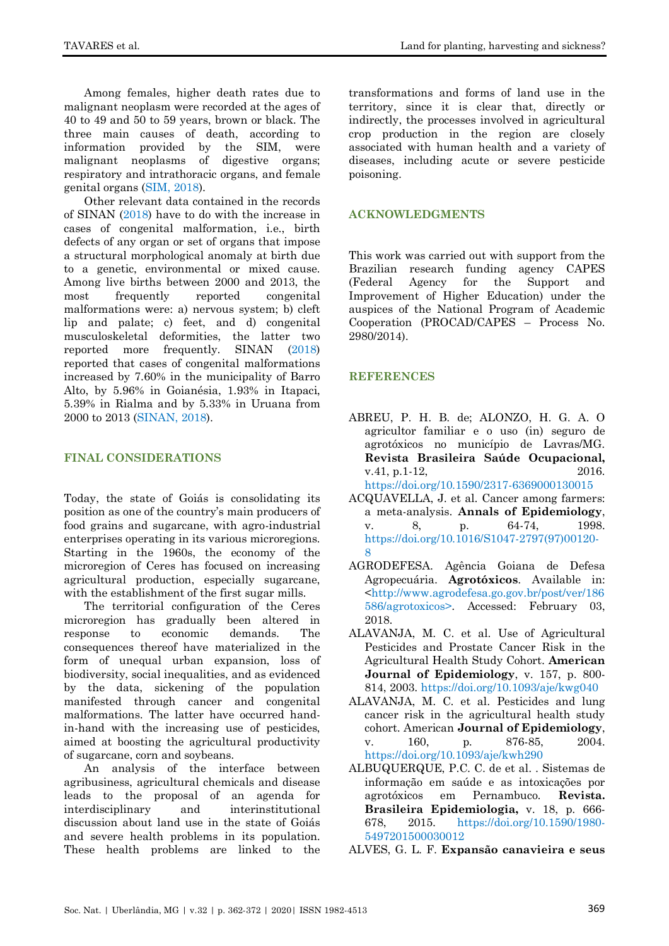Among females, higher death rates due to malignant neoplasm were recorded at the ages of 40 to 49 and 50 to 59 years, brown or black. The three main causes of death, according to information provided by the SIM, were malignant neoplasms of digestive organs; respiratory and intrathoracic organs, and female genital organs [\(SIM, 2018\)](#page-10-4).

Other relevant data contained in the records of SINAN [\(2018\)](#page-10-2) have to do with the increase in cases of congenital malformation, i.e., birth defects of any organ or set of organs that impose a structural morphological anomaly at birth due to a genetic, environmental or mixed cause. Among live births between 2000 and 2013, the most frequently reported congenital malformations were: a) nervous system; b) cleft lip and palate; c) feet, and d) congenital musculoskeletal deformities, the latter two reported more frequently. SINAN [\(2018\)](#page-10-2) reported that cases of congenital malformations increased by 7.60% in the municipality of Barro Alto, by 5.96% in Goianésia, 1.93% in Itapaci, 5.39% in Rialma and by 5.33% in Uruana from 2000 to 2013 [\(SINAN, 2018\)](#page-10-2).

#### **FINAL CONSIDERATIONS**

Today, the state of Goiás is consolidating its position as one of the country's main producers of food grains and sugarcane, with agro-industrial enterprises operating in its various microregions. Starting in the 1960s, the economy of the microregion of Ceres has focused on increasing agricultural production, especially sugarcane, with the establishment of the first sugar mills.

The territorial configuration of the Ceres microregion has gradually been altered in response to economic demands. The consequences thereof have materialized in the form of unequal urban expansion, loss of biodiversity, social inequalities, and as evidenced by the data, sickening of the population manifested through cancer and congenital malformations. The latter have occurred handin-hand with the increasing use of pesticides, aimed at boosting the agricultural productivity of sugarcane, corn and soybeans.

An analysis of the interface between agribusiness, agricultural chemicals and disease leads to the proposal of an agenda for interdisciplinary and interinstitutional discussion about land use in the state of Goiás and severe health problems in its population. These health problems are linked to the transformations and forms of land use in the territory, since it is clear that, directly or indirectly, the processes involved in agricultural crop production in the region are closely associated with human health and a variety of diseases, including acute or severe pesticide poisoning.

## **ACKNOWLEDGMENTS**

This work was carried out with support from the Brazilian research funding agency CAPES (Federal Agency for the Support and Improvement of Higher Education) under the auspices of the National Program of Academic Cooperation (PROCAD/CAPES – Process No. 2980/2014).

# **REFERENCES**

- <span id="page-7-0"></span>ABREU, P. H. B. de; ALONZO, H. G. A. O agricultor familiar e o uso (in) seguro de agrotóxicos no município de Lavras/MG. **Revista Brasileira Saúde Ocupacional,** v.41, p.1-12, 2016. <https://doi.org/10.1590/2317-6369000130015>
- <span id="page-7-2"></span>ACQUAVELLA, J. et al. Cancer among farmers: a meta-analysis. **Annals of Epidemiology**, v. 8, p. 64-74, 1998. [https://doi.org/10.1016/S1047-2797\(97\)00120-](https://doi.org/10.1016/S1047-2797(97)00120-8) [8](https://doi.org/10.1016/S1047-2797(97)00120-8)
- <span id="page-7-5"></span>AGRODEFESA. Agência Goiana de Defesa Agropecuária. **Agrotóxicos**. Available in: [<http://www.agrodefesa.go.gov.br/post/ver/186](http://www.agrodefesa.go.gov.br/post/ver/186586/agrotoxicos) [586/agrotoxicos>](http://www.agrodefesa.go.gov.br/post/ver/186586/agrotoxicos). Accessed: February 03, 2018.
- <span id="page-7-3"></span>ALAVANJA, M. C. et al. Use of Agricultural Pesticides and Prostate Cancer Risk in the Agricultural Health Study Cohort. **American Journal of Epidemiology**, v. 157, p. 800- 814, 2003.<https://doi.org/10.1093/aje/kwg040>
- <span id="page-7-4"></span>ALAVANJA, M. C. et al. Pesticides and lung cancer risk in the agricultural health study cohort. American **Journal of Epidemiology**, v. 160, p. 876-85, 2004. <https://doi.org/10.1093/aje/kwh290>
- <span id="page-7-1"></span>ALBUQUERQUE, P.C. C. de et al. . Sistemas de informação em saúde e as intoxicações por agrotóxicos em Pernambuco. **Revista. Brasileira Epidemiologia,** v. 18, p. 666- 678, 2015. [https://doi.org/10.1590/1980-](https://doi.org/10.1590/1980-5497201500030012) [5497201500030012](https://doi.org/10.1590/1980-5497201500030012)

<span id="page-7-6"></span>ALVES, G. L. F. **Expansão canavieira e seus**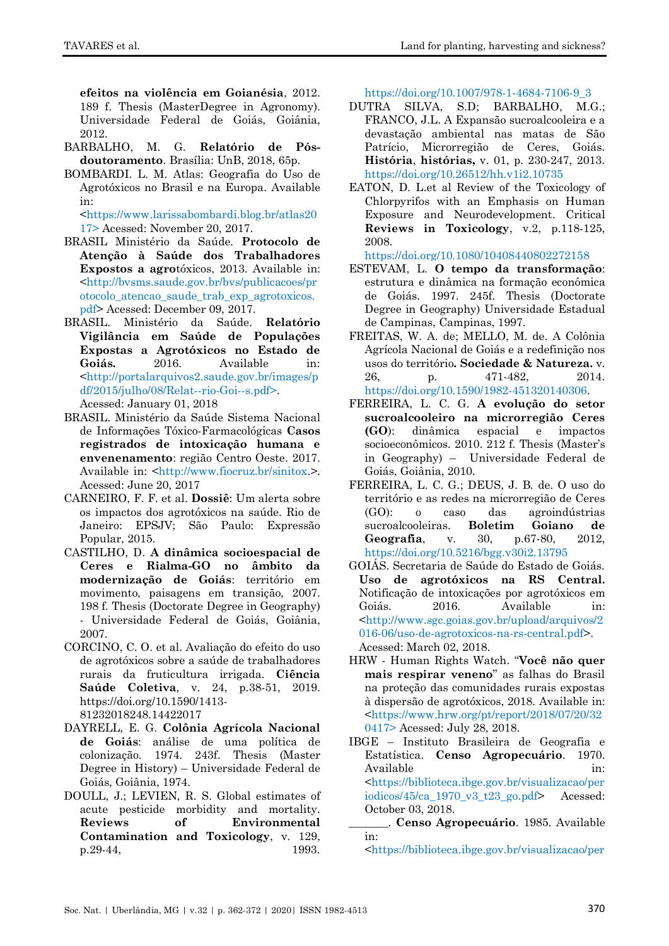**efeitos na violência em Goianésia**, 2012. 189 f. Thesis (MasterDegree in Agronomy). Universidade Federal de Goiás, Goiânia, 2012.

- <span id="page-8-12"></span>BARBALHO, M. G. **Relatório de Pósdoutoramento**. Brasília: UnB, 2018, 65p.
- <span id="page-8-7"></span>BOMBARDI. L. M. Atlas: Geografia do Uso de Agrotóxicos no Brasil e na Europa. Available in:

[<https://www.larissabombardi.blog.br/atlas20](https://www.larissabombardi.blog.br/atlas2017) [17>](https://www.larissabombardi.blog.br/atlas2017) Acessed: November 20, 2017.

- BRASIL Ministério da Saúde. **Protocolo de Atenção à Saúde dos Trabalhadores Expostos a agro**tóxicos, 2013. Available in: <http://bvsms.saude.gov.br/bvs/publicacoes/pr otocolo\_atencao\_saude\_trab\_exp\_agrotoxicos. pdf> Acessed: December 09, 2017.
- <span id="page-8-1"></span>BRASIL. Ministério da Saúde. **Relatório Vigilância em Saúde de Populações Expostas a Agrotóxicos no Estado de Goiás.** 2016. Available in: [<http://portalarquivos2.saude.gov.br/images/p](http://portalarquivos2.saude.gov.br/images/pdf/2015/julho/08/Relat--rio-Goi--s.pdf) [df/2015/julho/08/Relat--rio-Goi--s.pdf>](http://portalarquivos2.saude.gov.br/images/pdf/2015/julho/08/Relat--rio-Goi--s.pdf). Acessed: January 01, 2018
- <span id="page-8-8"></span>BRASIL. Ministério da Saúde Sistema Nacional de Informações Tóxico-Farmacológicas **Casos registrados de intoxicação humana e envenenamento**: região Centro Oeste. 2017. Available in: [<http://www.fiocruz.br/sinitox.](http://www.fiocruz.br/sinitox)>. Acessed: June 20, 2017
- <span id="page-8-0"></span>CARNEIRO, F. F. et al. **Dossiê**: Um alerta sobre os impactos dos agrotóxicos na saúde. Rio de Janeiro: EPSJV; São Paulo: Expressão Popular, 2015.
- <span id="page-8-5"></span>CASTILHO, D. **A dinâmica socioespacial de Ceres e Rialma-GO no âmbito da modernização de Goiás**: território em movimento, paisagens em transição, 2007. 198 f. Thesis (Doctorate Degree in Geography) - Universidade Federal de Goiás, Goiânia, 2007.
- <span id="page-8-2"></span>CORCINO, C. O. et al. Avaliação do efeito do uso de agrotóxicos sobre a saúde de trabalhadores rurais da fruticultura irrigada. **Ciência Saúde Coletiva**, v. 24, p.38-51, 2019. https://doi.org/10.1590/1413- 81232018248.14422017
- DAYRELL, E. G. **Colônia Agrícola Nacional de Goiás**: análise de uma política de colonização. 1974. 243f. Thesis (Master Degree in History) – Universidade Federal de Goiás, Goiânia, 1974.
- <span id="page-8-3"></span>DOULL, J.; LEVIEN, R. S. Global estimates of acute pesticide morbidity and mortality. **Reviews of Environmental Contamination and Toxicology**, v. 129, p.29-44, 1993.

[https://doi.org/10.1007/978-1-4684-7106-9\\_3](https://doi.org/10.1007/978-1-4684-7106-9_3)

- <span id="page-8-13"></span>DUTRA SILVA, S.D; BARBALHO, M.G.; FRANCO, J.L. A Expansão sucroalcooleira e a devastação ambiental nas matas de São Patrício, Microrregião de Ceres, Goiás. **História**, **histórias,** v. 01, p. 230-247, 2013. <https://doi.org/10.26512/hh.v1i2.10735>
- <span id="page-8-4"></span>EATON, D. L.et al Review of the Toxicology of Chlorpyrifos with an Emphasis on Human Exposure and Neurodevelopment. Critical **Reviews in Toxicology**, v.2, p.118-125, 2008.

<https://doi.org/10.1080/10408440802272158>

- <span id="page-8-6"></span>ESTEVAM, L. **O tempo da transformação**: estrutura e dinâmica na formação econômica de Goiás. 1997. 245f. Thesis (Doctorate Degree in Geography) Universidade Estadual de Campinas, Campinas, 1997.
- <span id="page-8-10"></span>FREITAS, W. A. de; MELLO, M. de. A Colônia Agrícola Nacional de Goiás e a redefinição nos usos do território**. Sociedade & Natureza.** v. 26, p. 471-482, 2014. [https://doi.org/10.1590/1982-451320140306.](https://doi.org/10.1590/1982-451320140306)
- <span id="page-8-14"></span>FERREIRA, L. C. G. **A evolução do setor sucroalcooleiro na microrregião Ceres (GO**): dinâmica espacial e impactos socioeconômicos. 2010. 212 f. Thesis (Master's in Geography) – Universidade Federal de Goiás, Goiânia, 2010.
- <span id="page-8-11"></span>FERREIRA, L. C. G.; DEUS, J. B. de. O uso do território e as redes na microrregião de Ceres (GO): o caso das agroindústrias sucroalcooleiras. **Boletim Goiano de Geografia**, v. 30, p.67-80, 2012, <https://doi.org/10.5216/bgg.v30i2.13795>
- <span id="page-8-9"></span>GOIÁS. Secretaria de Saúde do Estado de Goiás. **Uso de agrotóxicos na RS Central.** Notificação de intoxicações por agrotóxicos em Goiás. 2016. Available in: [<http://www.sgc.goias.gov.br/upload/arquivos/2](http://www.sgc.goias.gov.br/upload/arquivos/2016-06/uso-de-agrotoxicos-na-rs-central.pdf) [016-06/uso-de-agrotoxicos-na-rs-central.pdf>](http://www.sgc.goias.gov.br/upload/arquivos/2016-06/uso-de-agrotoxicos-na-rs-central.pdf). Acessed: March 02, 2018.
- HRW Human Rights Watch. ―**Você não quer mais respirar veneno**‖ as falhas do Brasil na proteção das comunidades rurais expostas à dispersão de agrotóxicos, 2018. Available in: [<https://www.hrw.org/pt/report/2018/07/20/32](https://www.hrw.org/pt/report/2018/07/20/320417) [0417>](https://www.hrw.org/pt/report/2018/07/20/320417) Acessed: July 28, 2018.
- IBGE Instituto Brasileira de Geografia e Estatística. **Censo Agropecuário**. 1970. Available in: [<https://biblioteca.ibge.gov.br/visualizacao/per](https://biblioteca.ibge.gov.br/visualizacao/periodicos/45/ca_1970_v3_t23_go.pdf) [iodicos/45/ca\\_1970\\_v3\\_t23\\_go.pdf>](https://biblioteca.ibge.gov.br/visualizacao/periodicos/45/ca_1970_v3_t23_go.pdf) Acessed: October 03, 2018.
	- \_\_\_\_\_\_\_. **Censo Agropecuário**. 1985. Available in:

[<https://biblioteca.ibge.gov.br/visualizacao/per](https://biblioteca.ibge.gov.br/visualizacao/periodicos/47/ca_1985_n27_go.pdf)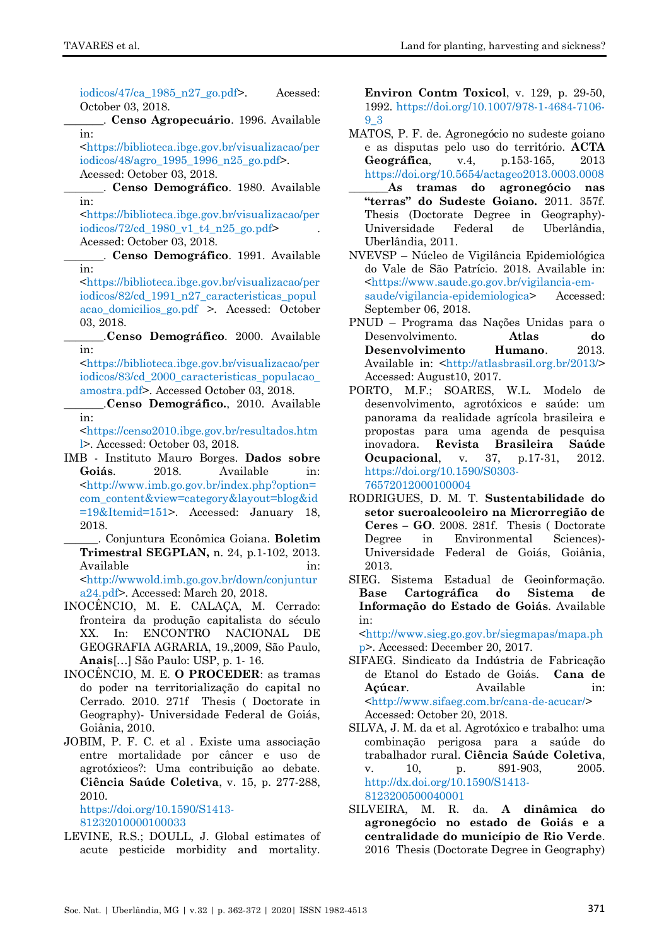iodicos/47/ca  $1985$  n27 go.pdf>. Acessed: October 03, 2018.

\_\_\_\_\_\_\_. **Censo Agropecuário**. 1996. Available in:

[<https://biblioteca.ibge.gov.br/visualizacao/per](https://biblioteca.ibge.gov.br/visualizacao/periodicos/48/agro_1995_1996_n25_go.pdf) [iodicos/48/agro\\_1995\\_1996\\_n25\\_go.pdf>](https://biblioteca.ibge.gov.br/visualizacao/periodicos/48/agro_1995_1996_n25_go.pdf). Acessed: October 03, 2018.

<span id="page-9-11"></span>\_\_\_\_\_\_\_. **Censo Demográfico**. 1980. Available in:

[<https://biblioteca.ibge.gov.br/visualizacao/per](https://biblioteca.ibge.gov.br/visualizacao/periodicos/72/cd_1980_v1_t4_n25_go.pdf) iodicos/72/cd 1980 v1 t4  $n25$  go.pdf> Acessed: October 03, 2018.

<span id="page-9-12"></span>\_\_\_\_\_\_\_. **Censo Demográfico**. 1991. Available in:

[<https://biblioteca.ibge.gov.br/visualizacao/per](https://biblioteca.ibge.gov.br/visualizacao/periodicos/82/cd_1991_n27_caracteristicas_populacao_domicilios_go.pdf) [iodicos/82/cd\\_1991\\_n27\\_caracteristicas\\_popul](https://biblioteca.ibge.gov.br/visualizacao/periodicos/82/cd_1991_n27_caracteristicas_populacao_domicilios_go.pdf) [acao\\_domicilios\\_go.pdf](https://biblioteca.ibge.gov.br/visualizacao/periodicos/82/cd_1991_n27_caracteristicas_populacao_domicilios_go.pdf) >. Acessed: October 03, 2018.

\_\_\_\_\_\_\_.**Censo Demográfico**. 2000. Available in:

[<https://biblioteca.ibge.gov.br/visualizacao/per](https://biblioteca.ibge.gov.br/visualizacao/periodicos/83/cd_2000_caracteristicas_populacao_amostra.pdf) [iodicos/83/cd\\_2000\\_caracteristicas\\_populacao\\_](https://biblioteca.ibge.gov.br/visualizacao/periodicos/83/cd_2000_caracteristicas_populacao_amostra.pdf) [amostra.pdf>](https://biblioteca.ibge.gov.br/visualizacao/periodicos/83/cd_2000_caracteristicas_populacao_amostra.pdf). Accessed October 03, 2018.

<span id="page-9-7"></span>\_\_\_\_\_\_\_.**Censo Demográfico.**, 2010. Available in:

[<https://censo2010.ibge.gov.br/resultados.htm](https://censo2010.ibge.gov.br/resultados.html) [l>](https://censo2010.ibge.gov.br/resultados.html). Accessed: October 03, 2018.

<span id="page-9-3"></span>IMB - Instituto Mauro Borges. **Dados sobre Goiás**. 2018. Available in: [<http://www.imb.go.gov.br/index.php?option=](http://www.imb.go.gov.br/index.php?option=com_content&view=category&layout=blog&id=19&Itemid=151) [com\\_content&view=category&layout=blog&id](http://www.imb.go.gov.br/index.php?option=com_content&view=category&layout=blog&id=19&Itemid=151) [=19&Itemid=151>](http://www.imb.go.gov.br/index.php?option=com_content&view=category&layout=blog&id=19&Itemid=151). Accessed: January 18, 2018.

<span id="page-9-6"></span>\_\_\_\_\_\_. Conjuntura Econômica Goiana. **Boletim Trimestral SEGPLAN,** n. 24, p.1-102, 2013. Available in: [<http://wwwold.imb.go.gov.br/down/conjuntur](http://wwwold.imb.go.gov.br/down/conjuntura24.pdf)

[a24.pdf>](http://wwwold.imb.go.gov.br/down/conjuntura24.pdf). Accessed: March 20, 2018.

- <span id="page-9-5"></span>INOCÊNCIO, M. E. CALAÇA, M. Cerrado: fronteira da produção capitalista do século XX. In: ENCONTRO NACIONAL DE GEOGRAFIA AGRARIA, 19.,2009, São Paulo, **Anais**[…] São Paulo: USP, p. 1- 16.
- INOCÊNCIO, M. E. **O PROCEDER**: as tramas do poder na territorialização do capital no Cerrado. 2010. 271f Thesis ( Doctorate in Geography)- Universidade Federal de Goiás, Goiânia, 2010.
- <span id="page-9-0"></span>JOBIM, P. F. C. et al . Existe uma associação entre mortalidade por câncer e uso de agrotóxicos?: Uma contribuição ao debate. **Ciência Saúde Coletiva**, v. 15, p. 277-288, 2010.

[https://doi.org/10.1590/S1413-](https://doi.org/10.1590/S1413-81232010000100033) [81232010000100033](https://doi.org/10.1590/S1413-81232010000100033)

<span id="page-9-4"></span>LEVINE, R.S.; DOULL, J. Global estimates of acute pesticide morbidity and mortality.

**Environ Contm Toxicol**, v. 129, p. 29-50, 1992. [https://doi.org/10.1007/978-1-4684-7106-](https://doi.org/10.1007/978-1-4684-7106-9_3) [9\\_3](https://doi.org/10.1007/978-1-4684-7106-9_3)

- <span id="page-9-2"></span>MATOS, P. F. de. Agronegócio no sudeste goiano e as disputas pelo uso do território. **ACTA Geográfica**, v.4, p.153-165, 2013 <https://doi.org/10.5654/actageo2013.0003.0008>
- \_\_\_\_\_\_\_**As tramas do agronegócio nas "terras" do Sudeste Goiano.** 2011. 357f. Thesis (Doctorate Degree in Geography)- Universidade Federal de Uberlândia, Uberlândia, 2011.
- NVEVSP Núcleo de Vigilância Epidemiológica do Vale de São Patrício. 2018. Available in: [<https://www.saude.go.gov.br/vigilancia-em](https://www.saude.go.gov.br/vigilancia-em-saude/vigilancia-epidemiologica)[saude/vigilancia-epidemiologica>](https://www.saude.go.gov.br/vigilancia-em-saude/vigilancia-epidemiologica) Accessed: September 06, 2018.
- <span id="page-9-14"></span><span id="page-9-13"></span>PNUD – Programa das Nações Unidas para o Desenvolvimento. **Atlas do Desenvolvimento Humano**. 2013. Available in: [<http://atlasbrasil.org.br/2013/>](http://atlasbrasil.org.br/2013/) Accessed: August10, 2017.
- <span id="page-9-1"></span>PORTO, M.F.; SOARES, W.L. Modelo de desenvolvimento, agrotóxicos e saúde: um panorama da realidade agrícola brasileira e propostas para uma agenda de pesquisa inovadora. **Revista Brasileira Saúde Ocupacional**, v. 37, p.17-31, 2012. [https://doi.org/10.1590/S0303-](https://doi.org/10.1590/S0303-76572012000100004) [76572012000100004](https://doi.org/10.1590/S0303-76572012000100004)
- <span id="page-9-9"></span>RODRIGUES, D. M. T. **Sustentabilidade do setor sucroalcooleiro na Microrregião de Ceres – GO**. 2008. 281f. Thesis ( Doctorate Degree in Environmental Sciences)- Universidade Federal de Goiás, Goiânia, 2013.
- <span id="page-9-8"></span>SIEG. Sistema Estadual de Geoinformação. **Base Cartográfica do Sistema de Informação do Estado de Goiás**. Available in:

[<http://www.sieg.go.gov.br/siegmapas/mapa.ph](http://www.sieg.go.gov.br/siegmapas/mapa.php) [p>](http://www.sieg.go.gov.br/siegmapas/mapa.php). Accessed: December 20, 2017.

- <span id="page-9-10"></span>SIFAEG. Sindicato da Indústria de Fabricação de Etanol do Estado de Goiás. **Cana de Açúcar**. Available in: [<http://www.sifaeg.com.br/cana-de-acucar/>](http://www.sifaeg.com.br/cana-de-acucar/) Accessed: October 20, 2018.
- SILVA, J. M. da et al. Agrotóxico e trabalho: uma combinação perigosa para a saúde do trabalhador rural. **Ciência Saúde Coletiva**, v. 10, p. 891-903, 2005. [http://dx.doi.org/10.1590/S1413-](http://dx.doi.org/10.1590/S1413-8123200500040001) [8123200500040001](http://dx.doi.org/10.1590/S1413-8123200500040001)
- SILVEIRA, M. R. da. **A dinâmica do agronegócio no estado de Goiás e a centralidade do município de Rio Verde**. 2016 Thesis (Doctorate Degree in Geography)